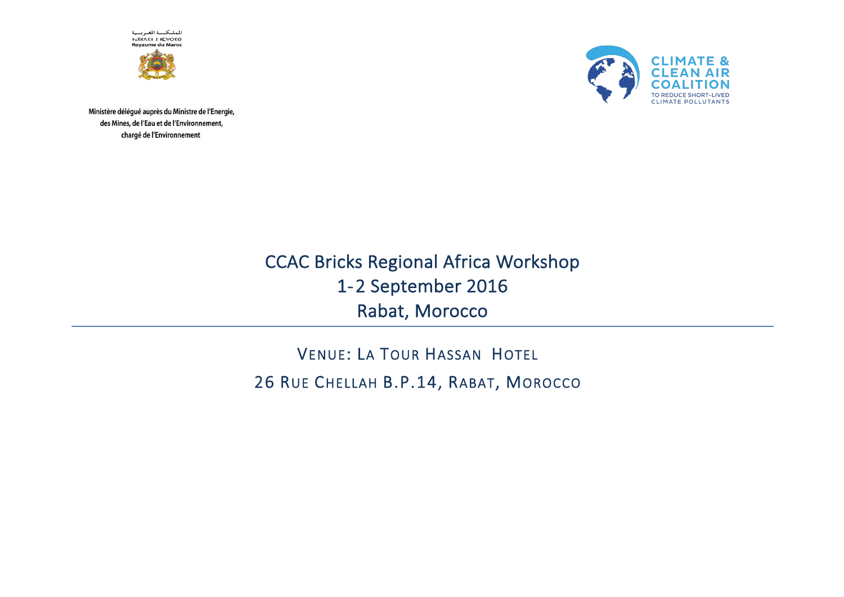الملكـــة المغـربــية<br>6>67H/X+ ا +6XM **Rovaume du Maroc** 





Ministère délégué auprès du Ministre de l'Energie, des Mines, de l'Eau et de l'Environnement, chargé de l'Environnement

> CCAC Bricks Regional Africa Workshop 1-2 September 2016 Rabat, Morocco

VENUE: LA TOUR HASSAN HOTEL 26 RUE CHELLAH B.P.14, RABAT, MOROCCO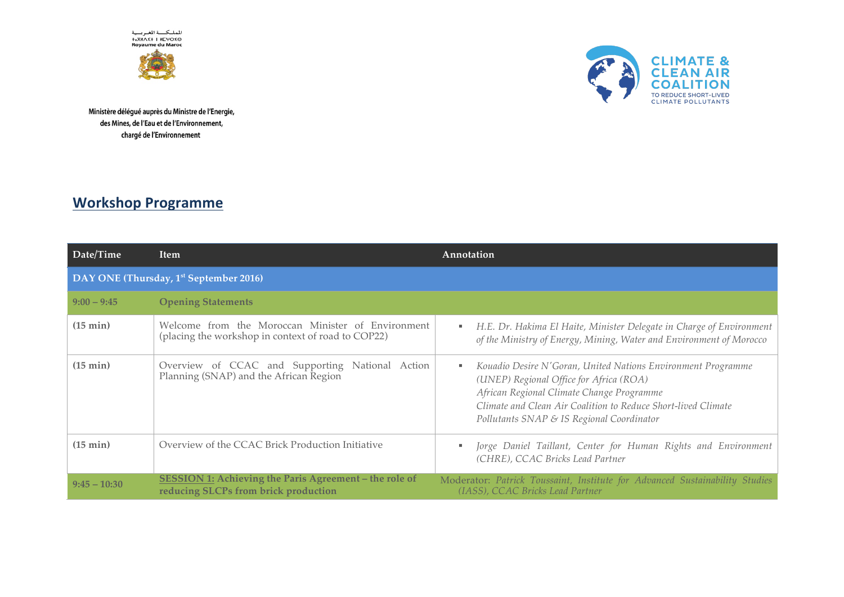الملكـــة الغــربـــية<br>2>0×6H×X+ I #5XM<br>Royaume du Maroc





Ministère délégué auprès du Ministre de l'Energie, des Mines, de l'Eau et de l'Environnement, chargé de l'Environnement

## **Workshop Programme**

| Date/Time                                          | <b>Item</b>                                                                                             | Annotation                                                                                                                                                                                                                                                              |  |
|----------------------------------------------------|---------------------------------------------------------------------------------------------------------|-------------------------------------------------------------------------------------------------------------------------------------------------------------------------------------------------------------------------------------------------------------------------|--|
| DAY ONE (Thursday, 1 <sup>st</sup> September 2016) |                                                                                                         |                                                                                                                                                                                                                                                                         |  |
| $9:00 - 9:45$                                      | <b>Opening Statements</b>                                                                               |                                                                                                                                                                                                                                                                         |  |
| (15 min)                                           | Welcome from the Moroccan Minister of Environment<br>(placing the workshop in context of road to COP22) | H.E. Dr. Hakima El Haite, Minister Delegate in Charge of Environment<br>٠<br>of the Ministry of Energy, Mining, Water and Environment of Morocco                                                                                                                        |  |
| $(15 \text{ min})$                                 | Overview of CCAC and Supporting National Action<br>Planning (SNAP) and the African Region               | Kouadio Desire N'Goran, United Nations Environment Programme<br>٠<br>(UNEP) Regional Office for Africa (ROA)<br>African Regional Climate Change Programme<br>Climate and Clean Air Coalition to Reduce Short-lived Climate<br>Pollutants SNAP & IS Regional Coordinator |  |
| (15 min)                                           | Overview of the CCAC Brick Production Initiative                                                        | Jorge Daniel Taillant, Center for Human Rights and Environment<br>٠<br>(CHRE), CCAC Bricks Lead Partner                                                                                                                                                                 |  |
| $9:45 - 10:30$                                     | SESSION 1: Achieving the Paris Agreement - the role of<br>reducing SLCPs from brick production          | Moderator: Patrick Toussaint, Institute for Advanced Sustainability Studies<br>(IASS), CCAC Bricks Lead Partner                                                                                                                                                         |  |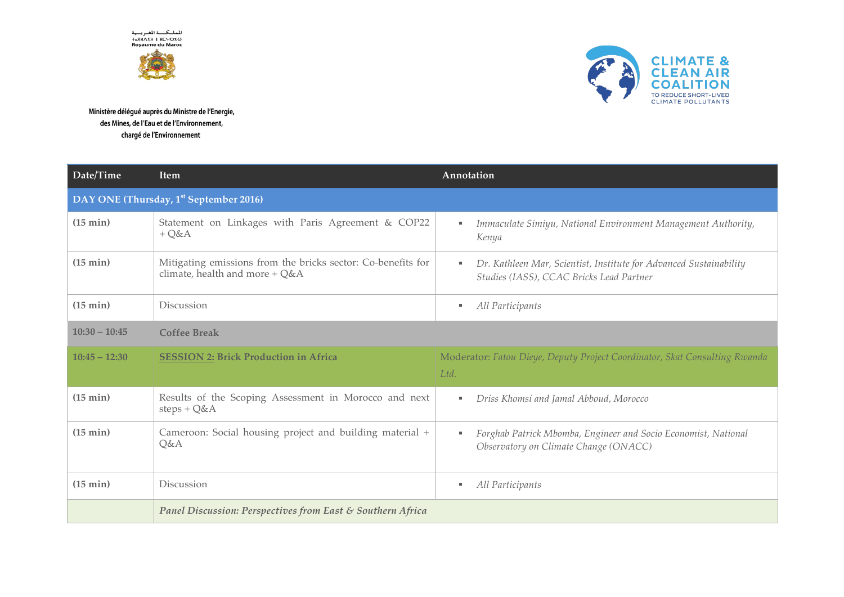المملكة المغربية<br>0×6+0 +0xM **Royaume du Maroc** 





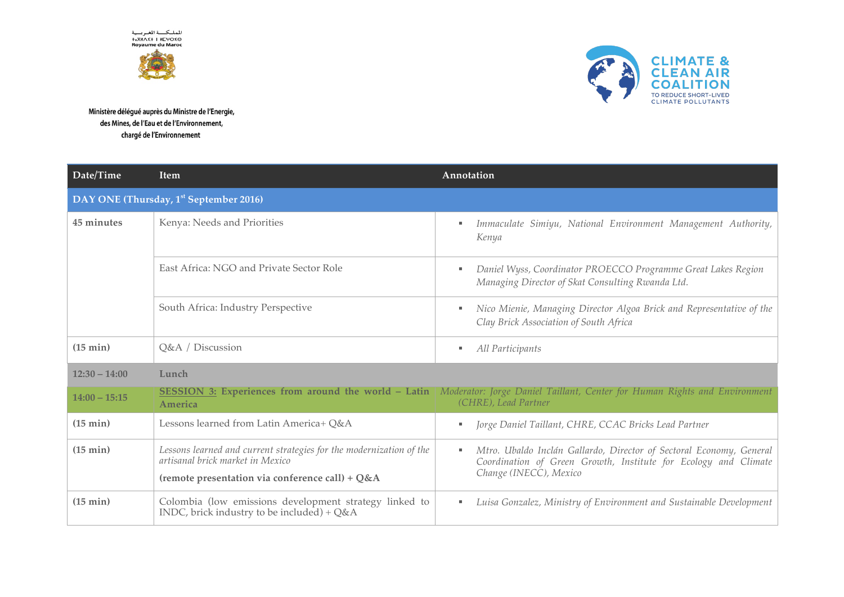المملكسة المغربسية **+**<sub>2</sub>XMA<sup>z+</sup> | METO **Royaume du Maroc** 





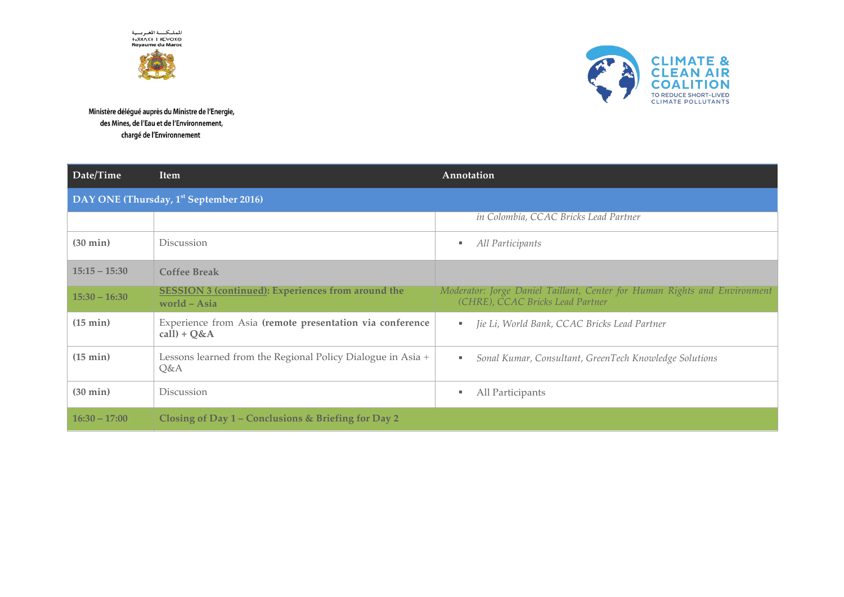المملكة المغربية<br>0×6+0 +0xM **Rovaume du Maroc** 



Ministère délégué auprès du Ministre de l'Energie, des Mines, de l'Eau et de l'Environnement, chargé de l'Environnement



**CLIMATE & CLEAN AIR** 

TO REDUCE SHORT-LIVED **CLIMATE POLLUTANTS** 

**COA**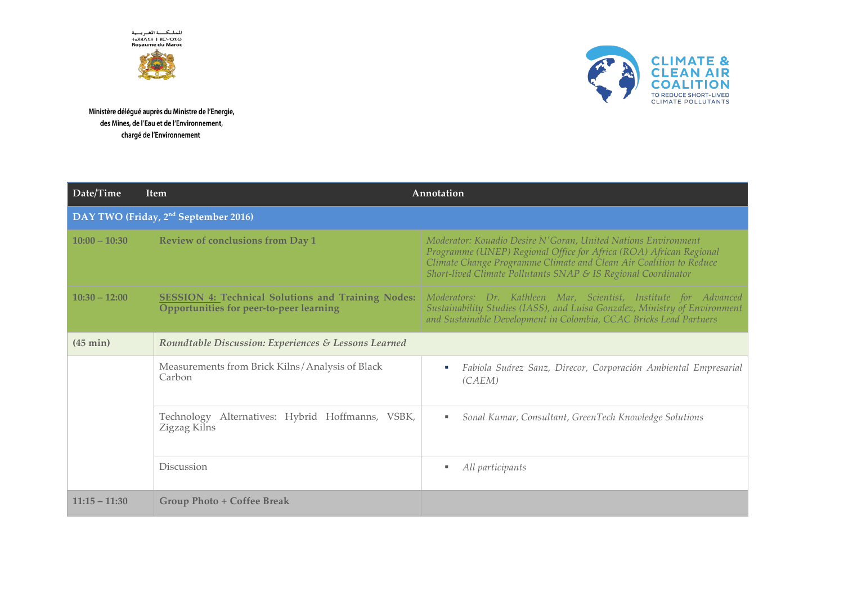الملكـــة الغــربـــية<br>2>0×6H×X+ I #5XM<br>Royaume du Maroc



Ministère délégué auprès du Ministre de l'Energie, des Mines, de l'Eau et de l'Environnement, chargé de l'Environnement

Date/Time

 $10(00 - 10(20))$ 



| $10.00 - 10.00$ | Review of conclusions from Day 1                                                                     | INTUACHAUT. KUMMAU DESILE IN GUHAN, CHINEM INMIUNS ENVILUMENTI<br>Programme (UNEP) Regional Office for Africa (ROA) African Regional<br>Climate Change Programme Climate and Clean Air Coalition to Reduce<br>Short-lived Climate Pollutants SNAP & IS Regional Coordinator |
|-----------------|------------------------------------------------------------------------------------------------------|-----------------------------------------------------------------------------------------------------------------------------------------------------------------------------------------------------------------------------------------------------------------------------|
| $10:30 - 12:00$ | <b>SESSION 4: Technical Solutions and Training Nodes:</b><br>Opportunities for peer-to-peer learning | Moderators: Dr. Kathleen Mar, Scientist, Institute for Advanced<br>Sustainability Studies (IASS), and Luisa Gonzalez, Ministry of Environment<br>and Sustainable Development in Colombia, CCAC Bricks Lead Partners                                                         |
| (45 min)        | Roundtable Discussion: Experiences & Lessons Learned                                                 |                                                                                                                                                                                                                                                                             |
|                 | Measurements from Brick Kilns/Analysis of Black<br>Carbon                                            | Fabiola Suárez Sanz, Direcor, Corporación Ambiental Empresarial<br>(CAEM)                                                                                                                                                                                                   |
|                 | Technology Alternatives: Hybrid Hoffmanns, VSBK,<br>Zigzag Kilns                                     | Sonal Kumar, Consultant, GreenTech Knowledge Solutions<br>ж.                                                                                                                                                                                                                |
|                 | Discussion                                                                                           | All participants                                                                                                                                                                                                                                                            |
| $11:15 - 11:30$ | Group Photo + Coffee Break                                                                           |                                                                                                                                                                                                                                                                             |

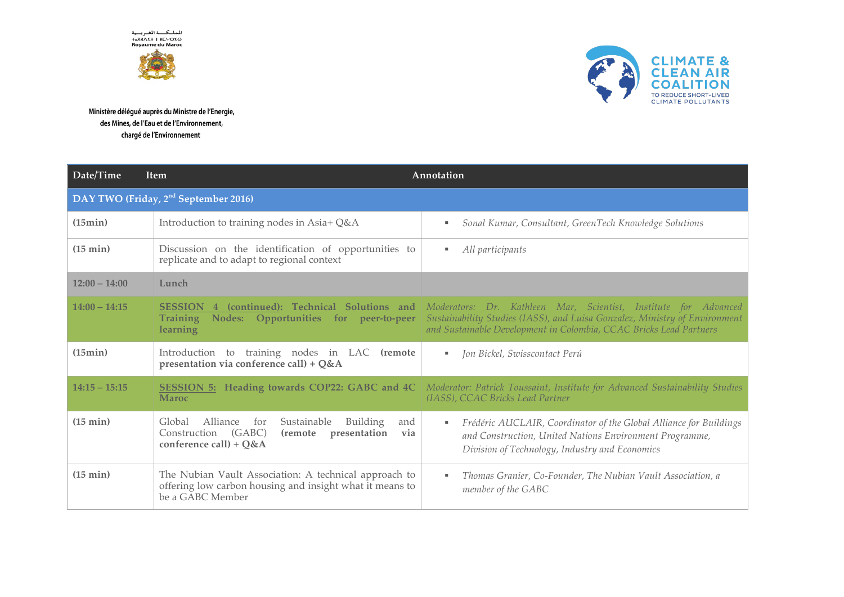المملكسة المغربسية **+**<sub>2</sub>XMA<sup>z+</sup> | METO **Royaume du Maroc**